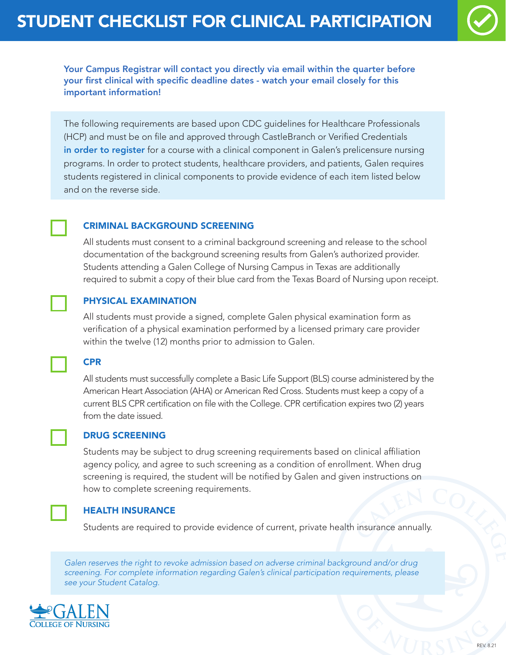

Your Campus Registrar will contact you directly via email within the quarter before your first clinical with specific deadline dates - watch your email closely for this important information!

The following requirements are based upon CDC guidelines for Healthcare Professionals (HCP) and must be on file and approved through CastleBranch or Verified Credentials in order to register for a course with a clinical component in Galen's prelicensure nursing programs. In order to protect students, healthcare providers, and patients, Galen requires students registered in clinical components to provide evidence of each item listed below and on the reverse side.

## CRIMINAL BACKGROUND SCREENING

All students must consent to a criminal background screening and release to the school documentation of the background screening results from Galen's authorized provider. Students attending a Galen College of Nursing Campus in Texas are additionally required to submit a copy of their blue card from the Texas Board of Nursing upon receipt.

## PHYSICAL EXAMINATION

All students must provide a signed, complete Galen physical examination form as verification of a physical examination performed by a licensed primary care provider within the twelve (12) months prior to admission to Galen.



All students must successfully complete a Basic Life Support (BLS) course administered by the American Heart Association (AHA) or American Red Cross. Students must keep a copy of a current BLS CPR certification on file with the College. CPR certification expires two (2) years from the date issued.



#### DRUG SCREENING

Students may be subject to drug screening requirements based on clinical affiliation agency policy, and agree to such screening as a condition of enrollment. When drug screening is required, the student will be notified by Galen and given instructions on how to complete screening requirements.



#### HEALTH INSURANCE

Students are required to provide evidence of current, private health insurance annually.

*Galen reserves the right to revoke admission based on adverse criminal background and/or drug screening. For complete information regarding Galen's clinical participation requirements, please see your Student Catalog.*